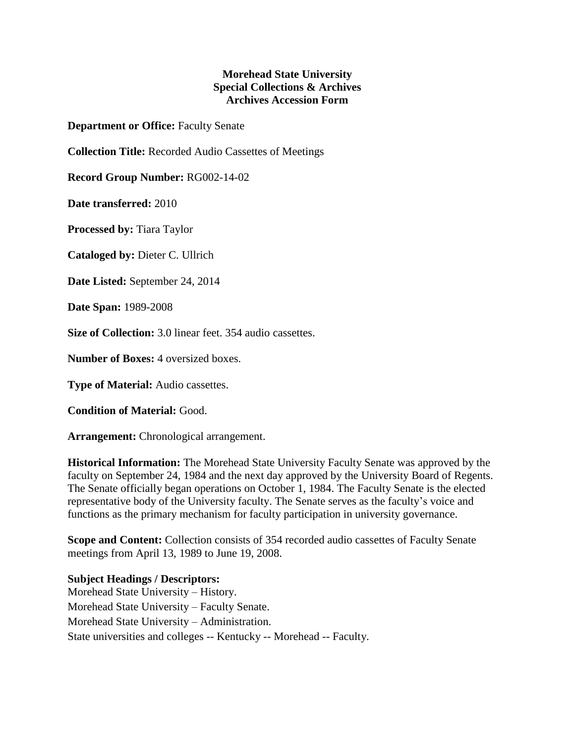## **Morehead State University Special Collections & Archives Archives Accession Form**

**Department or Office:** Faculty Senate

**Collection Title:** Recorded Audio Cassettes of Meetings

**Record Group Number:** RG002-14-02

**Date transferred:** 2010

**Processed by:** Tiara Taylor

**Cataloged by:** Dieter C. Ullrich

**Date Listed:** September 24, 2014

**Date Span:** 1989-2008

**Size of Collection:** 3.0 linear feet. 354 audio cassettes.

**Number of Boxes:** 4 oversized boxes.

**Type of Material:** Audio cassettes.

**Condition of Material:** Good.

**Arrangement:** Chronological arrangement.

**Historical Information:** The Morehead State University Faculty Senate was approved by the faculty on September 24, 1984 and the next day approved by the University Board of Regents. The Senate officially began operations on October 1, 1984. The Faculty Senate is the elected representative body of the University faculty. The Senate serves as the faculty's voice and functions as the primary mechanism for faculty participation in university governance.

**Scope and Content:** Collection consists of 354 recorded audio cassettes of Faculty Senate meetings from April 13, 1989 to June 19, 2008.

## **Subject Headings / Descriptors:**

Morehead State University – History. Morehead State University – Faculty Senate. Morehead State University – Administration. State universities and colleges -- Kentucky -- Morehead -- Faculty.